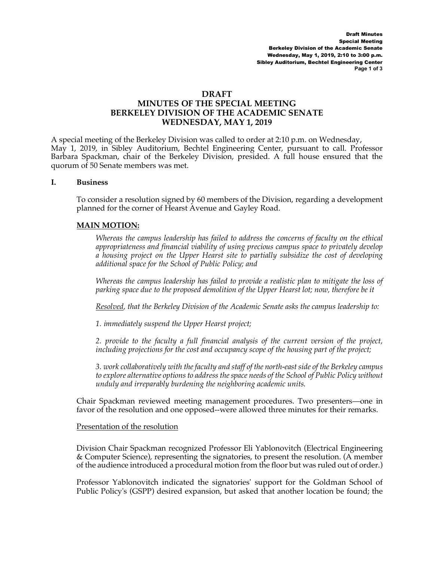#### **DRAFT**

# **MINUTES OF THE SPECIAL MEETING BERKELEY DIVISION OF THE ACADEMIC SENATE WEDNESDAY, MAY 1, 2019**

A special meeting of the Berkeley Division was called to order at 2:10 p.m. on Wednesday, May 1, 2019, in Sibley Auditorium, Bechtel Engineering Center, pursuant to call. Professor Barbara Spackman, chair of the Berkeley Division, presided. A full house ensured that the quorum of 50 Senate members was met.

#### **I. Business**

To consider a resolution signed by 60 members of the Division, regarding a development planned for the corner of Hearst Avenue and Gayley Road.

#### **MAIN MOTION:**

*Whereas the campus leadership has failed to address the concerns of faculty on the ethical appropriateness and financial viability of using precious campus space to privately develop a housing project on the Upper Hearst site to partially subsidize the cost of developing additional space for the School of Public Policy; and* 

*Whereas the campus leadership has failed to provide a realistic plan to mitigate the loss of parking space due to the proposed demolition of the Upper Hearst lot; now, therefore be it*

*Resolved, that the Berkeley Division of the Academic Senate asks the campus leadership to:*

*1. immediately suspend the Upper Hearst project;*

*2. provide to the faculty a full financial analysis of the current version of the project, including projections for the cost and occupancy scope of the housing part of the project;*

*3. work collaboratively with the faculty and staff of the north-east side of the Berkeley campus to explore alternative options to address the space needs of the School of Public Policy without unduly and irreparably burdening the neighboring academic units.*

Chair Spackman reviewed meeting management procedures. Two presenters—one in favor of the resolution and one opposed--were allowed three minutes for their remarks.

#### Presentation of the resolution

Division Chair Spackman recognized Professor Eli Yablonovitch (Electrical Engineering & Computer Science), representing the signatories, to present the resolution. (A member of the audience introduced a procedural motion from the floor but was ruled out of order.)

Professor Yablonovitch indicated the signatories' support for the Goldman School of Public Policy's (GSPP) desired expansion, but asked that another location be found; the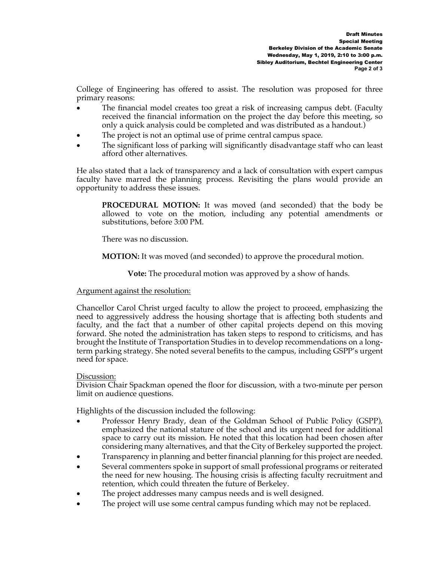College of Engineering has offered to assist. The resolution was proposed for three primary reasons:

- The financial model creates too great a risk of increasing campus debt. (Faculty received the financial information on the project the day before this meeting, so only a quick analysis could be completed and was distributed as a handout.)
- The project is not an optimal use of prime central campus space.
- The significant loss of parking will significantly disadvantage staff who can least afford other alternatives.

He also stated that a lack of transparency and a lack of consultation with expert campus faculty have marred the planning process. Revisiting the plans would provide an opportunity to address these issues.

**PROCEDURAL MOTION:** It was moved (and seconded) that the body be allowed to vote on the motion, including any potential amendments or substitutions, before 3:00 PM.

There was no discussion.

**MOTION:** It was moved (and seconded) to approve the procedural motion.

**Vote:** The procedural motion was approved by a show of hands.

### Argument against the resolution:

Chancellor Carol Christ urged faculty to allow the project to proceed, emphasizing the need to aggressively address the housing shortage that is affecting both students and faculty, and the fact that a number of other capital projects depend on this moving forward. She noted the administration has taken steps to respond to criticisms, and has brought the Institute of Transportation Studies in to develop recommendations on a longterm parking strategy. She noted several benefits to the campus, including GSPP's urgent need for space.

### Discussion:

Division Chair Spackman opened the floor for discussion, with a two-minute per person limit on audience questions.

Highlights of the discussion included the following:

- Professor Henry Brady, dean of the Goldman School of Public Policy (GSPP), emphasized the national stature of the school and its urgent need for additional space to carry out its mission. He noted that this location had been chosen after considering many alternatives, and that the City of Berkeley supported the project.
- Transparency in planning and better financial planning for this project are needed.
- Several commenters spoke in support of small professional programs or reiterated the need for new housing. The housing crisis is affecting faculty recruitment and retention, which could threaten the future of Berkeley.
- The project addresses many campus needs and is well designed.
- The project will use some central campus funding which may not be replaced.